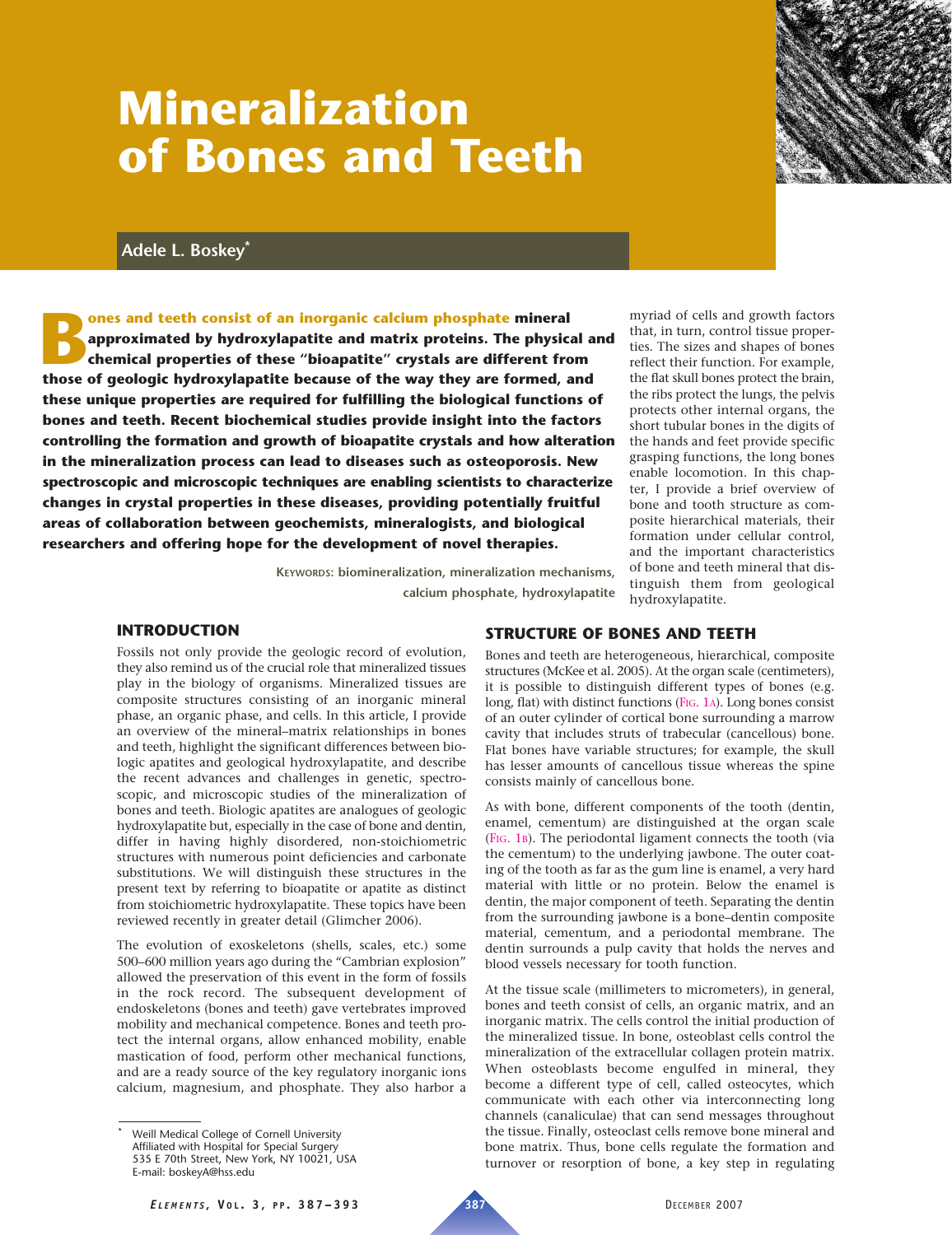# **Mineralization of Bones and Teeth**



# **Adele L. Boskey\***

**Bones and teeth consist of an inorganic calcium phosphate mineral<br>approximated by hydroxylapatite and matrix proteins. The physic<br>chemical properties of these "bioapatite" crystals are different from<br>those of geologic hyd approximated by hydroxylapatite and matrix proteins. The physical and chemical properties of these "bioapatite" crystals are different from those of geologic hydroxylapatite because of the way they are formed, and these unique properties are required for fulfilling the biological functions of bones and teeth. Recent biochemical studies provide insight into the factors controlling the formation and growth of bioapatite crystals and how alteration in the mineralization process can lead to diseases such as osteoporosis. New spectroscopic and microscopic techniques are enabling scientists to characterize changes in crystal properties in these diseases, providing potentially fruitful areas of collaboration between geochemists, mineralogists, and biological researchers and offering hope for the development of novel therapies.** 

myriad of cells and growth factors that, in turn, control tissue properties. The sizes and shapes of bones reflect their function. For example, the flat skull bones protect the brain, the ribs protect the lungs, the pelvis protects other internal organs, the short tubular bones in the digits of the hands and feet provide specific grasping functions, the long bones enable locomotion. In this chapter, I provide a brief overview of bone and tooth structure as composite hierarchical materials, their formation under cellular control, and the important characteristics of bone and teeth mineral that distinguish them from geological hydroxylapatite.

**calcium phosphate, hydroxylapatite** 

**KEYWORDS: biomineralization, mineralization mechanisms,**

#### **INTRODUCTION**

Fossils not only provide the geologic record of evolution, they also remind us of the crucial role that mineralized tissues play in the biology of organisms. Mineralized tissues are composite structures consisting of an inorganic mineral phase, an organic phase, and cells. In this article, I provide an overview of the mineral–matrix relationships in bones and teeth, highlight the significant differences between biologic apatites and geological hydroxylapatite, and describe the recent advances and challenges in genetic, spectroscopic, and microscopic studies of the mineralization of bones and teeth. Biologic apatites are analogues of geologic hydroxylapatite but, especially in the case of bone and dentin, differ in having highly disordered, non-stoichiometric structures with numerous point deficiencies and carbonate substitutions. We will distinguish these structures in the present text by referring to bioapatite or apatite as distinct from stoichiometric hydroxylapatite. These topics have been reviewed recently in greater detail (Glimcher 2006).

The evolution of exoskeletons (shells, scales, etc.) some 500–600 million years ago during the "Cambrian explosion" allowed the preservation of this event in the form of fossils in the rock record. The subsequent development of endoskeletons (bones and teeth) gave vertebrates improved mobility and mechanical competence. Bones and teeth protect the internal organs, allow enhanced mobility, enable mastication of food, perform other mechanical functions, and are a ready source of the key regulatory inorganic ions calcium, magnesium, and phosphate. They also harbor a

#### **STRUCTURE OF BONES AND TEETH**

Bones and teeth are heterogeneous, hierarchical, composite structures (McKee et al. 2005). At the organ scale (centimeters), it is possible to distinguish different types of bones (e.g. long, flat) with distinct functions (FIG. 1A). Long bones consist of an outer cylinder of cortical bone surrounding a marrow cavity that includes struts of trabecular (cancellous) bone. Flat bones have variable structures; for example, the skull has lesser amounts of cancellous tissue whereas the spine consists mainly of cancellous bone.

As with bone, different components of the tooth (dentin, enamel, cementum) are distinguished at the organ scale (FIG. 1B). The periodontal ligament connects the tooth (via the cementum) to the underlying jawbone. The outer coating of the tooth as far as the gum line is enamel, a very hard material with little or no protein. Below the enamel is dentin, the major component of teeth. Separating the dentin from the surrounding jawbone is a bone–dentin composite material, cementum, and a periodontal membrane. The dentin surrounds a pulp cavity that holds the nerves and blood vessels necessary for tooth function.

At the tissue scale (millimeters to micrometers), in general, bones and teeth consist of cells, an organic matrix, and an inorganic matrix. The cells control the initial production of the mineralized tissue. In bone, osteoblast cells control the mineralization of the extracellular collagen protein matrix. When osteoblasts become engulfed in mineral, they become a different type of cell, called osteocytes, which communicate with each other via interconnecting long channels (canaliculae) that can send messages throughout the tissue. Finally, osteoclast cells remove bone mineral and bone matrix. Thus, bone cells regulate the formation and turnover or resorption of bone, a key step in regulating

Weill Medical College of Cornell University Affiliated with Hospital for Special Surgery 535 E 70th Street, New York, NY 10021, USA E-mail: boskeyA@hss.edu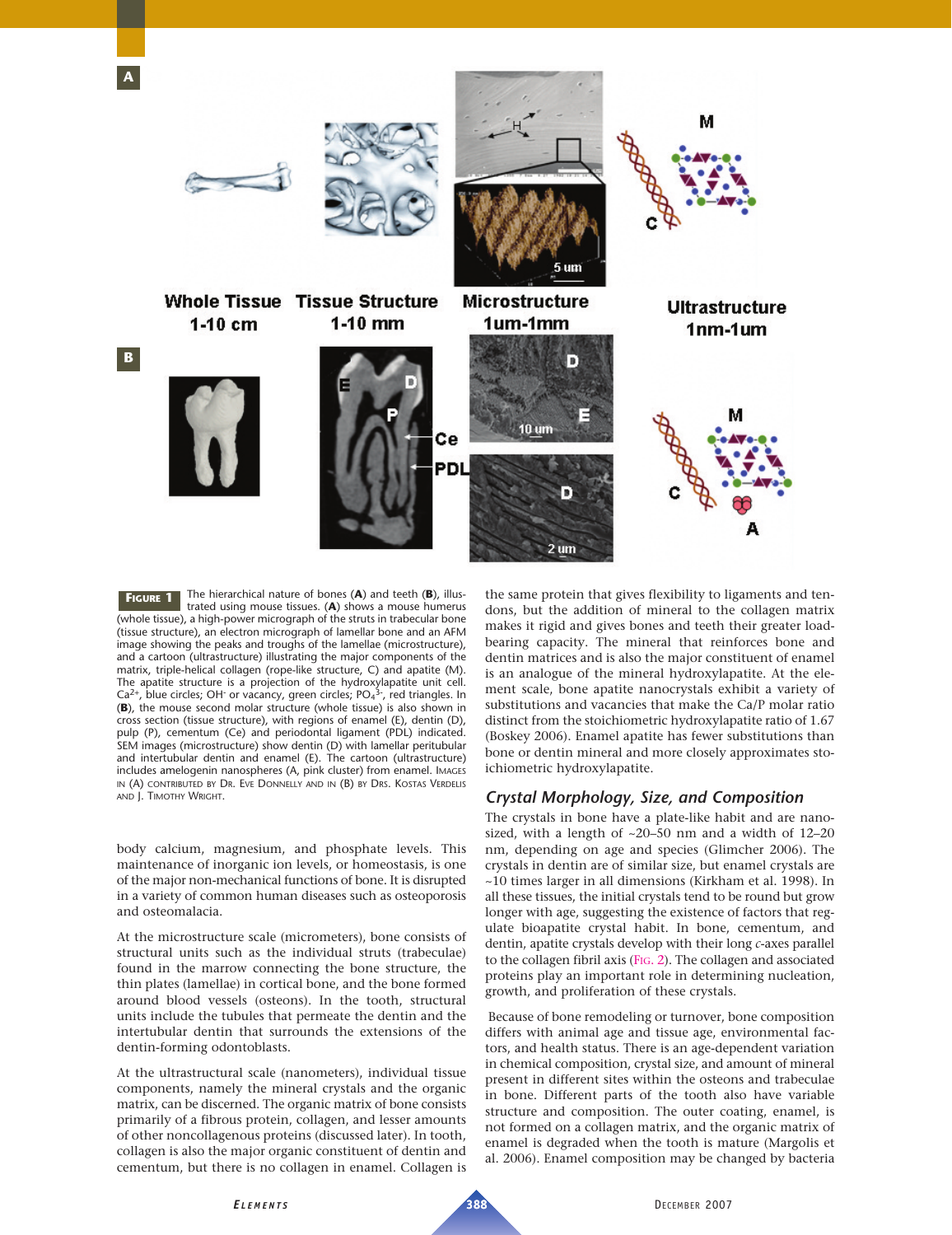

The hierarchical nature of bones (**A**) and teeth (**B**), illustrated using mouse tissues. (**A**) shows a mouse humerus (whole tissue), a high-power micrograph of the struts in trabecular bone (tissue structure), an electron micrograph of lamellar bone and an AFM image showing the peaks and troughs of the lamellae (microstructure), and a cartoon (ultrastructure) illustrating the major components of the matrix, triple-helical collagen (rope-like structure, C) and apatite (M). The apatite structure is a projection of the hydroxylapatite unit cell.<br>Ca<sup>2+</sup>, blue circles; OH<sup>-</sup> or vacancy, green circles; PO<sub>4</sub>3-, red triangles. In (**B**), the mouse second molar structure (whole tissue) is also shown in cross section (tissue structure), with regions of enamel (E), dentin (D), pulp (P), cementum (Ce) and periodontal ligament (PDL) indicated. SEM images (microstructure) show dentin (D) with lamellar peritubular and intertubular dentin and enamel (E). The cartoon (ultrastructure) includes amelogenin nanospheres (A, pink cluster) from enamel. IMAGES IN (A) CONTRIBUTED BY DR. EVE DONNELLY AND IN (B) BY DRS. KOSTAS VERDELIS AND J. TIMOTHY WRIGHT. **FIGURE 1**

body calcium, magnesium, and phosphate levels. This maintenance of inorganic ion levels, or homeostasis, is one of the major non-mechanical functions of bone. It is disrupted in a variety of common human diseases such as osteoporosis and osteomalacia.

At the microstructure scale (micrometers), bone consists of structural units such as the individual struts (trabeculae) found in the marrow connecting the bone structure, the thin plates (lamellae) in cortical bone, and the bone formed around blood vessels (osteons). In the tooth, structural units include the tubules that permeate the dentin and the intertubular dentin that surrounds the extensions of the dentin-forming odontoblasts.

At the ultrastructural scale (nanometers), individual tissue components, namely the mineral crystals and the organic matrix, can be discerned. The organic matrix of bone consists primarily of a fibrous protein, collagen, and lesser amounts of other noncollagenous proteins (discussed later). In tooth, collagen is also the major organic constituent of dentin and cementum, but there is no collagen in enamel. Collagen is the same protein that gives flexibility to ligaments and tendons, but the addition of mineral to the collagen matrix makes it rigid and gives bones and teeth their greater loadbearing capacity. The mineral that reinforces bone and dentin matrices and is also the major constituent of enamel is an analogue of the mineral hydroxylapatite. At the element scale, bone apatite nanocrystals exhibit a variety of substitutions and vacancies that make the Ca/P molar ratio distinct from the stoichiometric hydroxylapatite ratio of 1.67 (Boskey 2006). Enamel apatite has fewer substitutions than bone or dentin mineral and more closely approximates stoichiometric hydroxylapatite.

### *Crystal Morphology, Size, and Composition*

The crystals in bone have a plate-like habit and are nanosized, with a length of  $\approx 20-50$  nm and a width of 12–20 nm, depending on age and species (Glimcher 2006). The crystals in dentin are of similar size, but enamel crystals are ~10 times larger in all dimensions (Kirkham et al. 1998). In all these tissues, the initial crystals tend to be round but grow longer with age, suggesting the existence of factors that regulate bioapatite crystal habit. In bone, cementum, and dentin, apatite crystals develop with their long *c*-axes parallel to the collagen fibril axis (FIG. 2). The collagen and associated proteins play an important role in determining nucleation, growth, and proliferation of these crystals.

Because of bone remodeling or turnover, bone composition differs with animal age and tissue age, environmental factors, and health status. There is an age-dependent variation in chemical composition, crystal size, and amount of mineral present in different sites within the osteons and trabeculae in bone. Different parts of the tooth also have variable structure and composition. The outer coating, enamel, is not formed on a collagen matrix, and the organic matrix of enamel is degraded when the tooth is mature (Margolis et al. 2006). Enamel composition may be changed by bacteria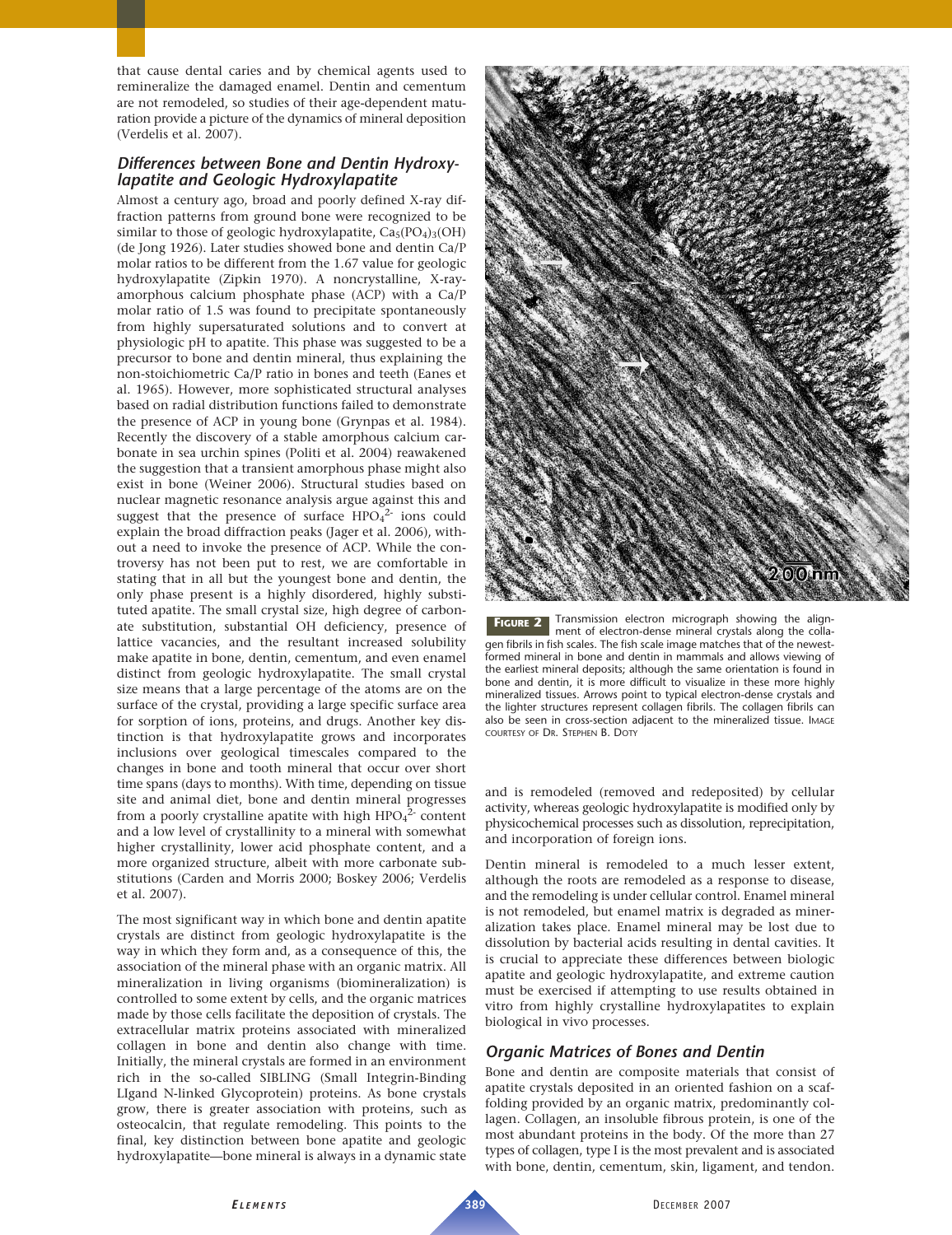that cause dental caries and by chemical agents used to remineralize the damaged enamel. Dentin and cementum are not remodeled, so studies of their age-dependent maturation provide a picture of the dynamics of mineral deposition (Verdelis et al. 2007).

#### *Differences between Bone and Dentin Hydroxylapatite and Geologic Hydroxylapatite*

Almost a century ago, broad and poorly defined X-ray diffraction patterns from ground bone were recognized to be similar to those of geologic hydroxylapatite,  $Ca<sub>5</sub>(PO<sub>4</sub>)<sub>3</sub>(OH)$ (de Jong 1926). Later studies showed bone and dentin Ca/P molar ratios to be different from the 1.67 value for geologic hydroxylapatite (Zipkin 1970). A noncrystalline, X-rayamorphous calcium phosphate phase (ACP) with a Ca/P molar ratio of 1.5 was found to precipitate spontaneously from highly supersaturated solutions and to convert at physiologic pH to apatite. This phase was suggested to be a precursor to bone and dentin mineral, thus explaining the non-stoichiometric Ca/P ratio in bones and teeth (Eanes et al. 1965). However, more sophisticated structural analyses based on radial distribution functions failed to demonstrate the presence of ACP in young bone (Grynpas et al. 1984). Recently the discovery of a stable amorphous calcium carbonate in sea urchin spines (Politi et al. 2004) reawakened the suggestion that a transient amorphous phase might also exist in bone (Weiner 2006). Structural studies based on nuclear magnetic resonance analysis argue against this and suggest that the presence of surface  $HPO<sub>4</sub><sup>2</sup>$  ions could explain the broad diffraction peaks (Jager et al. 2006), without a need to invoke the presence of ACP. While the controversy has not been put to rest, we are comfortable in stating that in all but the youngest bone and dentin, the only phase present is a highly disordered, highly substituted apatite. The small crystal size, high degree of carbonate substitution, substantial OH deficiency, presence of lattice vacancies, and the resultant increased solubility make apatite in bone, dentin, cementum, and even enamel distinct from geologic hydroxylapatite. The small crystal size means that a large percentage of the atoms are on the surface of the crystal, providing a large specific surface area for sorption of ions, proteins, and drugs. Another key distinction is that hydroxylapatite grows and incorporates inclusions over geological timescales compared to the changes in bone and tooth mineral that occur over short time spans (days to months). With time, depending on tissue site and animal diet, bone and dentin mineral progresses from a poorly crystalline apatite with high  $HPO<sub>4</sub><sup>2</sup>$  content and a low level of crystallinity to a mineral with somewhat higher crystallinity, lower acid phosphate content, and a more organized structure, albeit with more carbonate substitutions (Carden and Morris 2000; Boskey 2006; Verdelis et al. 2007).

The most significant way in which bone and dentin apatite crystals are distinct from geologic hydroxylapatite is the way in which they form and, as a consequence of this, the association of the mineral phase with an organic matrix. All mineralization in living organisms (biomineralization) is controlled to some extent by cells, and the organic matrices made by those cells facilitate the deposition of crystals. The extracellular matrix proteins associated with mineralized collagen in bone and dentin also change with time. Initially, the mineral crystals are formed in an environment rich in the so-called SIBLING (Small Integrin-Binding LIgand N-linked Glycoprotein) proteins. As bone crystals grow, there is greater association with proteins, such as osteocalcin, that regulate remodeling. This points to the final, key distinction between bone apatite and geologic hydroxylapatite—bone mineral is always in a dynamic state



Transmission electron micrograph showing the alignment of electron-dense mineral crystals along the collagen fibrils in fish scales. The fish scale image matches that of the newestformed mineral in bone and dentin in mammals and allows viewing of the earliest mineral deposits; although the same orientation is found in bone and dentin, it is more difficult to visualize in these more highly mineralized tissues. Arrows point to typical electron-dense crystals and the lighter structures represent collagen fibrils. The collagen fibrils can also be seen in cross-section adjacent to the mineralized tissue. IMAGE COURTESY OF DR. STEPHEN B. DOTY **FIGURE 2**

and is remodeled (removed and redeposited) by cellular activity, whereas geologic hydroxylapatite is modified only by physicochemical processes such as dissolution, reprecipitation, and incorporation of foreign ions.

Dentin mineral is remodeled to a much lesser extent, although the roots are remodeled as a response to disease, and the remodeling is under cellular control. Enamel mineral is not remodeled, but enamel matrix is degraded as mineralization takes place. Enamel mineral may be lost due to dissolution by bacterial acids resulting in dental cavities. It is crucial to appreciate these differences between biologic apatite and geologic hydroxylapatite, and extreme caution must be exercised if attempting to use results obtained in vitro from highly crystalline hydroxylapatites to explain biological in vivo processes.

### *Organic Matrices of Bones and Dentin*

Bone and dentin are composite materials that consist of apatite crystals deposited in an oriented fashion on a scaffolding provided by an organic matrix, predominantly collagen. Collagen, an insoluble fibrous protein, is one of the most abundant proteins in the body. Of the more than 27 types of collagen, type I is the most prevalent and is associated with bone, dentin, cementum, skin, ligament, and tendon.

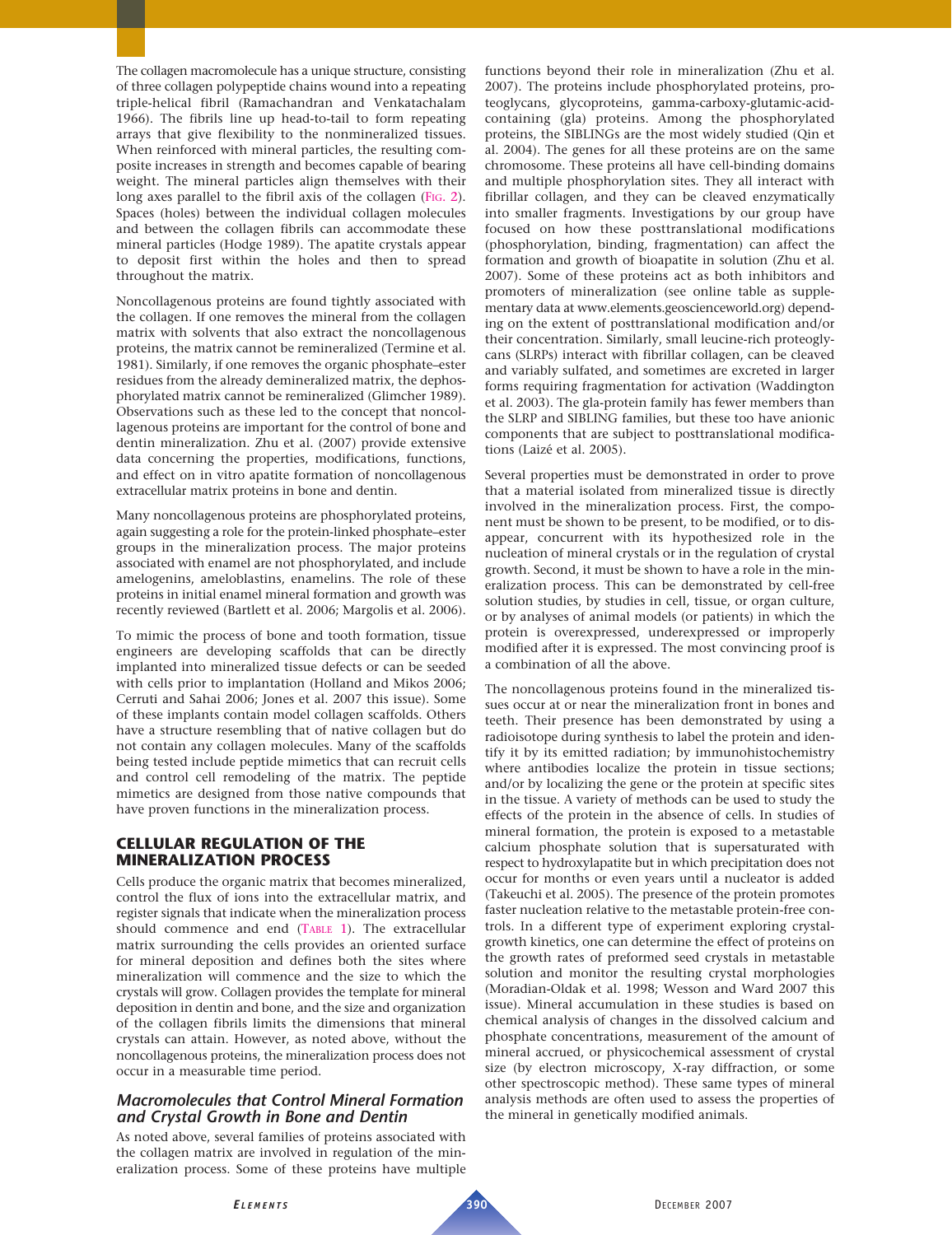The collagen macromolecule has a unique structure, consisting of three collagen polypeptide chains wound into a repeating triple-helical fibril (Ramachandran and Venkatachalam 1966). The fibrils line up head-to-tail to form repeating arrays that give flexibility to the nonmineralized tissues. When reinforced with mineral particles, the resulting composite increases in strength and becomes capable of bearing weight. The mineral particles align themselves with their long axes parallel to the fibril axis of the collagen (FIG. 2). Spaces (holes) between the individual collagen molecules and between the collagen fibrils can accommodate these mineral particles (Hodge 1989). The apatite crystals appear to deposit first within the holes and then to spread throughout the matrix.

Noncollagenous proteins are found tightly associated with the collagen. If one removes the mineral from the collagen matrix with solvents that also extract the noncollagenous proteins, the matrix cannot be remineralized (Termine et al. 1981). Similarly, if one removes the organic phosphate–ester residues from the already demineralized matrix, the dephosphorylated matrix cannot be remineralized (Glimcher 1989). Observations such as these led to the concept that noncollagenous proteins are important for the control of bone and dentin mineralization. Zhu et al. (2007) provide extensive data concerning the properties, modifications, functions, and effect on in vitro apatite formation of noncollagenous extracellular matrix proteins in bone and dentin.

Many noncollagenous proteins are phosphorylated proteins, again suggesting a role for the protein-linked phosphate–ester groups in the mineralization process. The major proteins associated with enamel are not phosphorylated, and include amelogenins, ameloblastins, enamelins. The role of these proteins in initial enamel mineral formation and growth was recently reviewed (Bartlett et al. 2006; Margolis et al. 2006).

To mimic the process of bone and tooth formation, tissue engineers are developing scaffolds that can be directly implanted into mineralized tissue defects or can be seeded with cells prior to implantation (Holland and Mikos 2006; Cerruti and Sahai 2006; Jones et al. 2007 this issue). Some of these implants contain model collagen scaffolds. Others have a structure resembling that of native collagen but do not contain any collagen molecules. Many of the scaffolds being tested include peptide mimetics that can recruit cells and control cell remodeling of the matrix. The peptide mimetics are designed from those native compounds that have proven functions in the mineralization process.

#### **CELLULAR REGULATION OF THE MINERALIZATION PROCESS**

Cells produce the organic matrix that becomes mineralized, control the flux of ions into the extracellular matrix, and register signals that indicate when the mineralization process should commence and end (TABLE 1). The extracellular matrix surrounding the cells provides an oriented surface for mineral deposition and defines both the sites where mineralization will commence and the size to which the crystals will grow. Collagen provides the template for mineral deposition in dentin and bone, and the size and organization of the collagen fibrils limits the dimensions that mineral crystals can attain. However, as noted above, without the noncollagenous proteins, the mineralization process does not occur in a measurable time period.

#### *Macromolecules that Control Mineral Formation and Crystal Growth in Bone and Dentin*

As noted above, several families of proteins associated with the collagen matrix are involved in regulation of the mineralization process. Some of these proteins have multiple

functions beyond their role in mineralization (Zhu et al. 2007). The proteins include phosphorylated proteins, proteoglycans, glycoproteins, gamma-carboxy-glutamic-acidcontaining (gla) proteins. Among the phosphorylated proteins, the SIBLINGs are the most widely studied (Qin et al. 2004). The genes for all these proteins are on the same chromosome. These proteins all have cell-binding domains and multiple phosphorylation sites. They all interact with fibrillar collagen, and they can be cleaved enzymatically into smaller fragments. Investigations by our group have focused on how these posttranslational modifications (phosphorylation, binding, fragmentation) can affect the formation and growth of bioapatite in solution (Zhu et al. 2007). Some of these proteins act as both inhibitors and promoters of mineralization (see online table as supplementary data at www.elements.geoscienceworld.org) depending on the extent of posttranslational modification and/or their concentration. Similarly, small leucine-rich proteoglycans (SLRPs) interact with fibrillar collagen, can be cleaved and variably sulfated, and sometimes are excreted in larger forms requiring fragmentation for activation (Waddington et al. 2003). The gla-protein family has fewer members than the SLRP and SIBLING families, but these too have anionic components that are subject to posttranslational modifications (Laizé et al. 2005).

Several properties must be demonstrated in order to prove that a material isolated from mineralized tissue is directly involved in the mineralization process. First, the component must be shown to be present, to be modified, or to disappear, concurrent with its hypothesized role in the nucleation of mineral crystals or in the regulation of crystal growth. Second, it must be shown to have a role in the mineralization process. This can be demonstrated by cell-free solution studies, by studies in cell, tissue, or organ culture, or by analyses of animal models (or patients) in which the protein is overexpressed, underexpressed or improperly modified after it is expressed. The most convincing proof is a combination of all the above.

The noncollagenous proteins found in the mineralized tissues occur at or near the mineralization front in bones and teeth. Their presence has been demonstrated by using a radioisotope during synthesis to label the protein and identify it by its emitted radiation; by immunohistochemistry where antibodies localize the protein in tissue sections; and/or by localizing the gene or the protein at specific sites in the tissue. A variety of methods can be used to study the effects of the protein in the absence of cells. In studies of mineral formation, the protein is exposed to a metastable calcium phosphate solution that is supersaturated with respect to hydroxylapatite but in which precipitation does not occur for months or even years until a nucleator is added (Takeuchi et al. 2005). The presence of the protein promotes faster nucleation relative to the metastable protein-free controls. In a different type of experiment exploring crystalgrowth kinetics, one can determine the effect of proteins on the growth rates of preformed seed crystals in metastable solution and monitor the resulting crystal morphologies (Moradian-Oldak et al. 1998; Wesson and Ward 2007 this issue). Mineral accumulation in these studies is based on chemical analysis of changes in the dissolved calcium and phosphate concentrations, measurement of the amount of mineral accrued, or physicochemical assessment of crystal size (by electron microscopy, X-ray diffraction, or some other spectroscopic method). These same types of mineral analysis methods are often used to assess the properties of the mineral in genetically modified animals.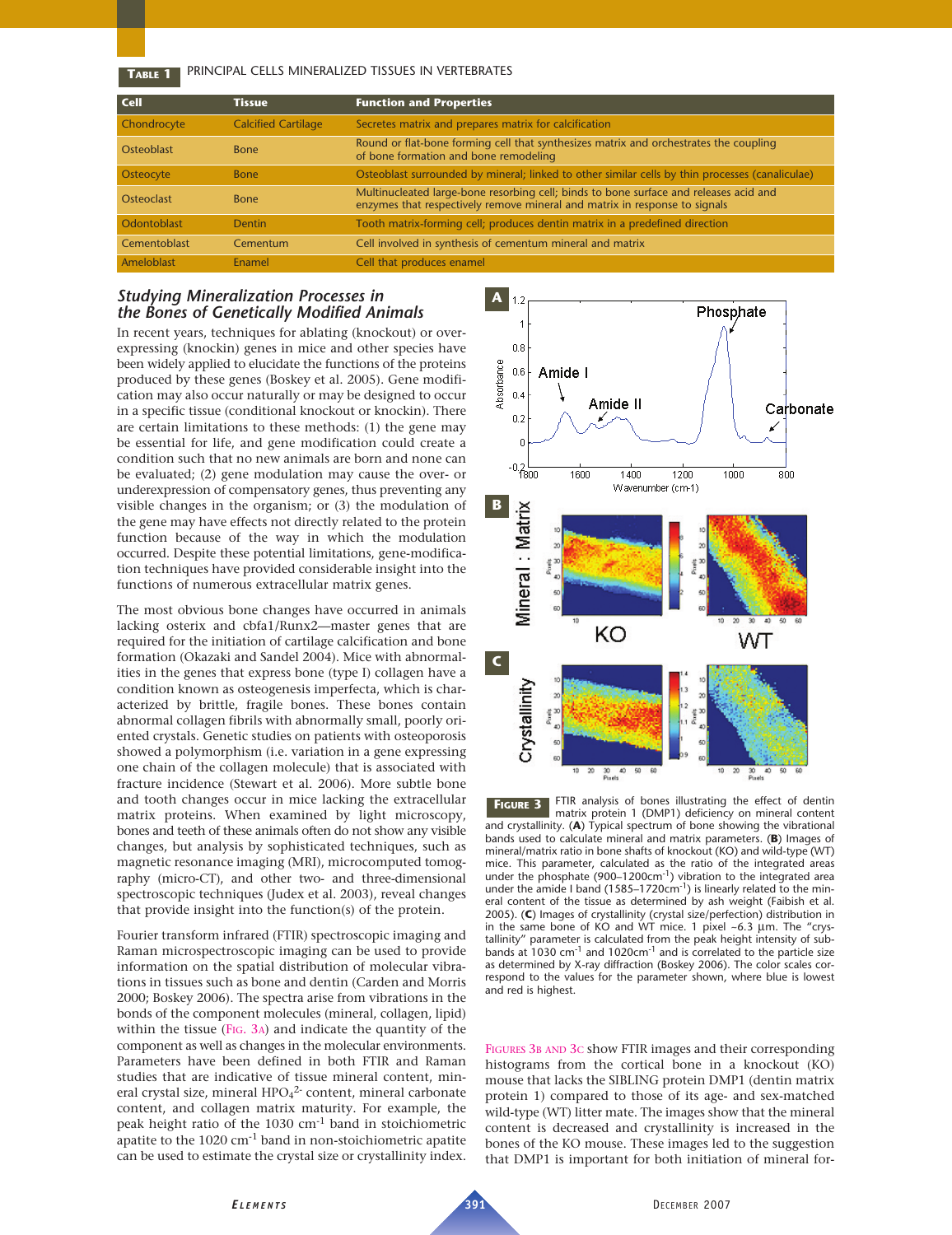**TABLE 1** PRINCIPAL CELLS MINERALIZED TISSUES IN VERTEBRATES

| <b>Cell</b>  | <b>Tissue</b>              | <b>Function and Properties</b>                                                                                                                                      |
|--------------|----------------------------|---------------------------------------------------------------------------------------------------------------------------------------------------------------------|
| Chondrocyte  | <b>Calcified Cartilage</b> | Secretes matrix and prepares matrix for calcification                                                                                                               |
| Osteoblast   | <b>Bone</b>                | Round or flat-bone forming cell that synthesizes matrix and orchestrates the coupling<br>of bone formation and bone remodeling                                      |
| Osteocyte    | <b>Bone</b>                | Osteoblast surrounded by mineral; linked to other similar cells by thin processes (canaliculae)                                                                     |
| Osteoclast   | <b>Bone</b>                | Multinucleated large-bone resorbing cell; binds to bone surface and releases acid and<br>enzymes that respectively remove mineral and matrix in response to signals |
| Odontoblast  | <b>Dentin</b>              | Tooth matrix-forming cell; produces dentin matrix in a predefined direction                                                                                         |
| Cementoblast | Cementum                   | Cell involved in synthesis of cementum mineral and matrix                                                                                                           |
| Ameloblast   | Enamel                     | Cell that produces enamel                                                                                                                                           |

### *Studying Mineralization Processes in the Bones of Genetically Modified Animals*

In recent years, techniques for ablating (knockout) or overexpressing (knockin) genes in mice and other species have been widely applied to elucidate the functions of the proteins produced by these genes (Boskey et al. 2005). Gene modification may also occur naturally or may be designed to occur in a specific tissue (conditional knockout or knockin). There are certain limitations to these methods: (1) the gene may be essential for life, and gene modification could create a condition such that no new animals are born and none can be evaluated; (2) gene modulation may cause the over- or underexpression of compensatory genes, thus preventing any visible changes in the organism; or (3) the modulation of the gene may have effects not directly related to the protein function because of the way in which the modulation occurred. Despite these potential limitations, gene-modification techniques have provided considerable insight into the functions of numerous extracellular matrix genes.

The most obvious bone changes have occurred in animals lacking osterix and cbfa1/Runx2—master genes that are required for the initiation of cartilage calcification and bone formation (Okazaki and Sandel 2004). Mice with abnormalities in the genes that express bone (type I) collagen have a condition known as osteogenesis imperfecta, which is characterized by brittle, fragile bones. These bones contain abnormal collagen fibrils with abnormally small, poorly oriented crystals. Genetic studies on patients with osteoporosis showed a polymorphism (i.e. variation in a gene expressing one chain of the collagen molecule) that is associated with fracture incidence (Stewart et al. 2006). More subtle bone and tooth changes occur in mice lacking the extracellular matrix proteins. When examined by light microscopy, bones and teeth of these animals often do not show any visible changes, but analysis by sophisticated techniques, such as magnetic resonance imaging (MRI), microcomputed tomography (micro-CT), and other two- and three-dimensional spectroscopic techniques (Judex et al. 2003), reveal changes that provide insight into the function(s) of the protein.

Fourier transform infrared (FTIR) spectroscopic imaging and Raman microspectroscopic imaging can be used to provide information on the spatial distribution of molecular vibrations in tissues such as bone and dentin (Carden and Morris 2000; Boskey 2006). The spectra arise from vibrations in the bonds of the component molecules (mineral, collagen, lipid) within the tissue (FIG. 3A) and indicate the quantity of the component as well as changes in the molecular environments. Parameters have been defined in both FTIR and Raman studies that are indicative of tissue mineral content, mineral crystal size, mineral  $\rm{HPO_4}^{2-}$  content, mineral carbonate content, and collagen matrix maturity. For example, the peak height ratio of the 1030 cm-1 band in stoichiometric apatite to the 1020 cm-1 band in non-stoichiometric apatite can be used to estimate the crystal size or crystallinity index.



FTIR analysis of bones illustrating the effect of dentin matrix protein 1 (DMP1) deficiency on mineral content and crystallinity. (**A**) Typical spectrum of bone showing the vibrational bands used to calculate mineral and matrix parameters. (**B**) Images of mineral/matrix ratio in bone shafts of knockout (KO) and wild-type (WT) mice. This parameter, calculated as the ratio of the integrated areas under the phosphate (900–1200cm-1) vibration to the integrated area under the amide I band (1585–1720 $cm^{-1}$ ) is linearly related to the mineral content of the tissue as determined by ash weight (Faibish et al. 2005). (**C**) Images of crystallinity (crystal size/perfection) distribution in in the same bone of KO and  $\overline{WT}$  mice. 1 pixel ~6.3 µm. The "crystallinity" parameter is calculated from the peak height intensity of subbands at 1030 cm<sup>-1</sup> and 1020cm<sup>-1</sup> and is correlated to the particle size as determined by X-ray diffraction (Boskey 2006). The color scales correspond to the values for the parameter shown, where blue is lowest and red is highest. **FIGURE 3**

FIGURES 3B AND 3C show FTIR images and their corresponding histograms from the cortical bone in a knockout (KO) mouse that lacks the SIBLING protein DMP1 (dentin matrix protein 1) compared to those of its age- and sex-matched wild-type (WT) litter mate. The images show that the mineral content is decreased and crystallinity is increased in the bones of the KO mouse. These images led to the suggestion that DMP1 is important for both initiation of mineral for-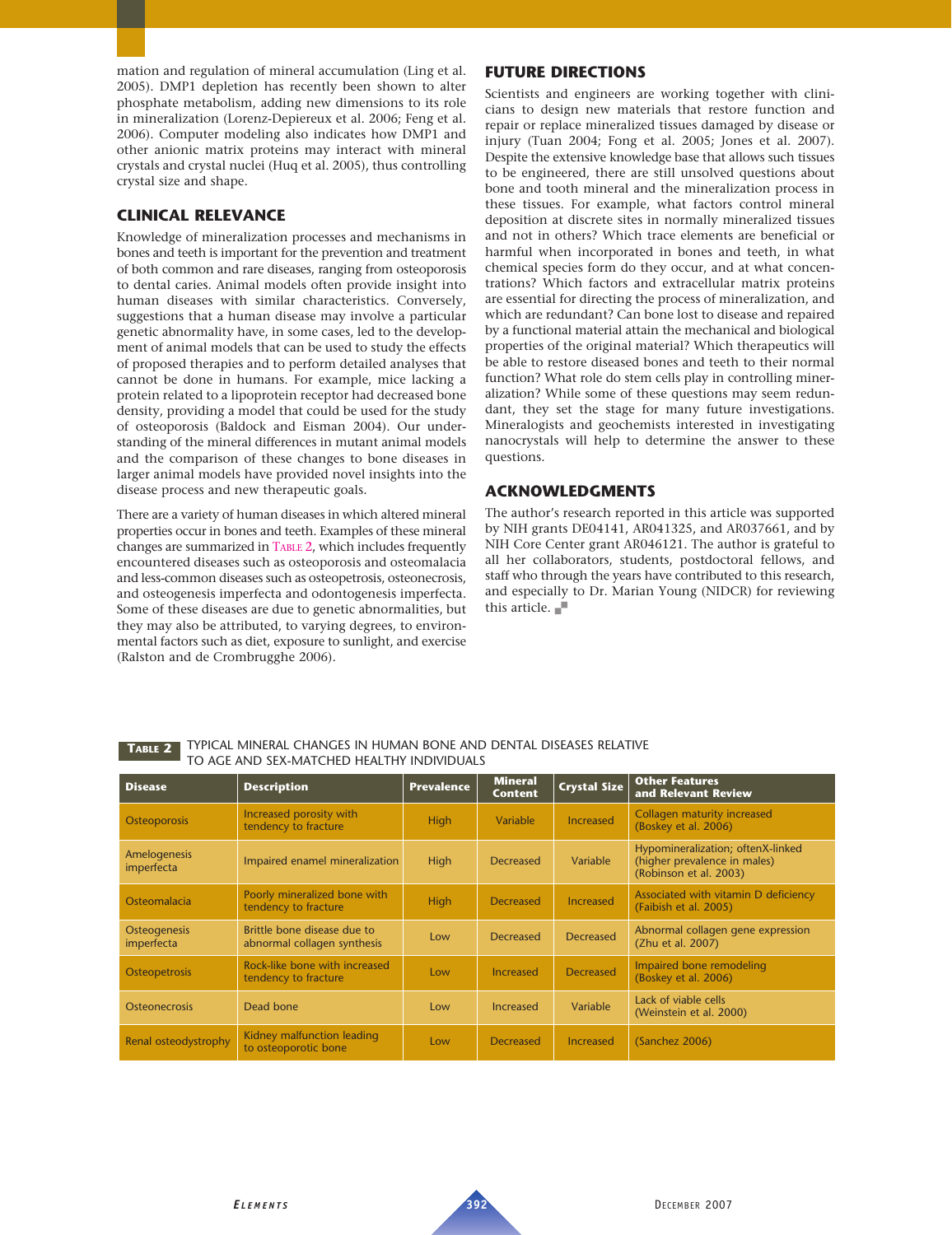mation and regulation of mineral accumulation (Ling et al. 2005). DMP1 depletion has recently been shown to alter phosphate metabolism, adding new dimensions to its role in mineralization (Lorenz-Depiereux et al. 2006; Feng et al. 2006). Computer modeling also indicates how DMP1 and other anionic matrix proteins may interact with mineral crystals and crystal nuclei (Huq et al. 2005), thus controlling crystal size and shape.

# **CLINICAL RELEVANCE**

Knowledge of mineralization processes and mechanisms in bones and teeth is important for the prevention and treatment of both common and rare diseases, ranging from osteoporosis to dental caries. Animal models often provide insight into human diseases with similar characteristics. Conversely, suggestions that a human disease may involve a particular genetic abnormality have, in some cases, led to the development of animal models that can be used to study the effects of proposed therapies and to perform detailed analyses that cannot be done in humans. For example, mice lacking a protein related to a lipoprotein receptor had decreased bone density, providing a model that could be used for the study of osteoporosis (Baldock and Eisman 2004). Our understanding of the mineral differences in mutant animal models and the comparison of these changes to bone diseases in larger animal models have provided novel insights into the disease process and new therapeutic goals.

There are a variety of human diseases in which altered mineral properties occur in bones and teeth. Examples of these mineral changes are summarized in TABLE 2, which includes frequently encountered diseases such as osteoporosis and osteomalacia and less-common diseases such as osteopetrosis, osteonecrosis, and osteogenesis imperfecta and odontogenesis imperfecta. Some of these diseases are due to genetic abnormalities, but they may also be attributed, to varying degrees, to environmental factors such as diet, exposure to sunlight, and exercise (Ralston and de Crombrugghe 2006).

## **FUTURE DIRECTIONS**

Scientists and engineers are working together with clinicians to design new materials that restore function and repair or replace mineralized tissues damaged by disease or injury (Tuan 2004; Fong et al. 2005; Jones et al. 2007). Despite the extensive knowledge base that allows such tissues to be engineered, there are still unsolved questions about bone and tooth mineral and the mineralization process in these tissues. For example, what factors control mineral deposition at discrete sites in normally mineralized tissues and not in others? Which trace elements are beneficial or harmful when incorporated in bones and teeth, in what chemical species form do they occur, and at what concentrations? Which factors and extracellular matrix proteins are essential for directing the process of mineralization, and which are redundant? Can bone lost to disease and repaired by a functional material attain the mechanical and biological properties of the original material? Which therapeutics will be able to restore diseased bones and teeth to their normal function? What role do stem cells play in controlling mineralization? While some of these questions may seem redundant, they set the stage for many future investigations. Mineralogists and geochemists interested in investigating nanocrystals will help to determine the answer to these questions.

# **ACKNOWLEDGMENTS**

The author's research reported in this article was supported by NIH grants DE04141, AR041325, and AR037661, and by NIH Core Center grant AR046121. The author is grateful to all her collaborators, students, postdoctoral fellows, and staff who through the years have contributed to this research, and especially to Dr. Marian Young (NIDCR) for reviewing this article.  $\blacksquare$ 

| <b>Disease</b>                    | <b>Description</b>                                         | <b>Prevalence</b> | <b>Mineral</b><br><b>Content</b> | <b>Crystal Size</b> | <b>Other Features</b><br>and Relevant Review                                                |
|-----------------------------------|------------------------------------------------------------|-------------------|----------------------------------|---------------------|---------------------------------------------------------------------------------------------|
| <b>Osteoporosis</b>               | Increased porosity with<br>tendency to fracture            | <b>High</b>       | Variable                         | <b>Increased</b>    | Collagen maturity increased<br>(Boskey et al. 2006)                                         |
| <b>Amelogenesis</b><br>imperfecta | Impaired enamel mineralization                             | <b>High</b>       | <b>Decreased</b>                 | Variable            | Hypomineralization; oftenX-linked<br>(higher prevalence in males)<br>(Robinson et al. 2003) |
| Osteomalacia                      | Poorly mineralized bone with<br>tendency to fracture       | <b>High</b>       | <b>Decreased</b>                 | <b>Increased</b>    | Associated with vitamin D deficiency<br>(Faibish et al. 2005)                               |
| <b>Osteogenesis</b><br>imperfecta | Brittle bone disease due to<br>abnormal collagen synthesis | Low               | Decreased                        | <b>Decreased</b>    | Abnormal collagen gene expression<br>(Zhu et al. 2007)                                      |
| <b>Osteopetrosis</b>              | Rock-like bone with increased<br>tendency to fracture      | Low               | <b>Increased</b>                 | <b>Decreased</b>    | Impaired bone remodeling<br>(Boskey et al. 2006)                                            |
| <b>Osteonecrosis</b>              | Dead bone                                                  | Low               | Increased                        | Variable            | Lack of viable cells<br>(Weinstein et al. 2000)                                             |
| Renal osteodystrophy              | Kidney malfunction leading<br>to osteoporotic bone         | Low               | <b>Decreased</b>                 | <b>Increased</b>    | (Sanchez 2006)                                                                              |

#### TYPICAL MINERAL CHANGES IN HUMAN BONE AND DENTAL DISEASES RELATIVE TO AGE AND SEX-MATCHED HEALTHY INDIVIDUALS **TABLE 2**